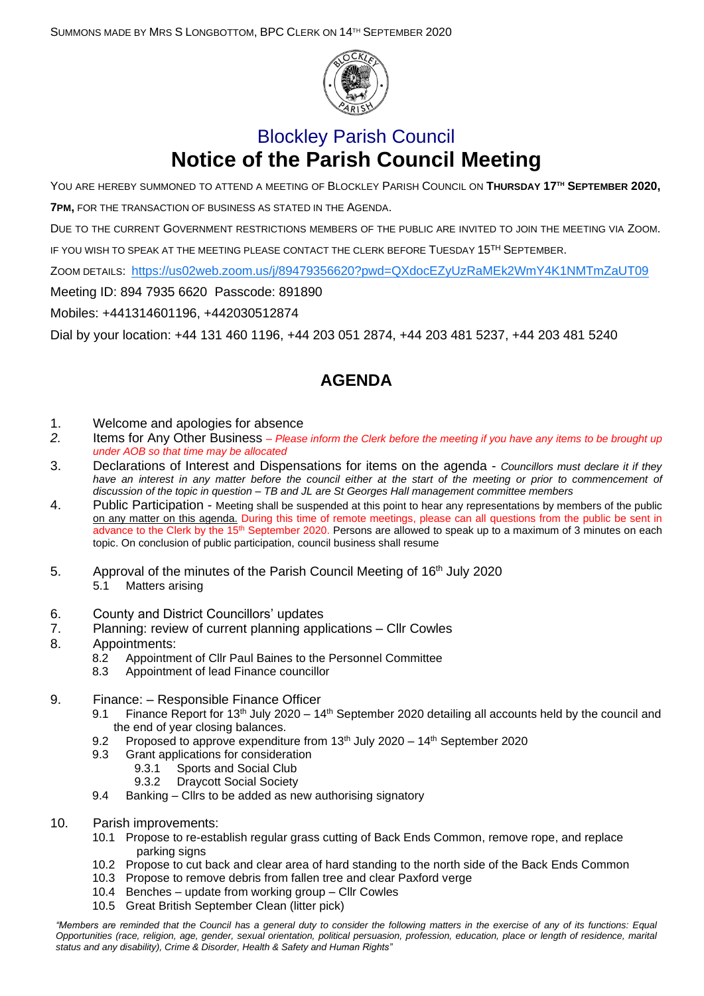

## Blockley Parish Council **Notice of the Parish Council Meeting**

YOU ARE HEREBY SUMMONED TO ATTEND A MEETING OF BLOCKLEY PARISH COUNCIL ON **THURSDAY 17 TH SEPTEMBER 2020, 7PM,** FOR THE TRANSACTION OF BUSINESS AS STATED IN THE AGENDA.

DUE TO THE CURRENT GOVERNMENT RESTRICTIONS MEMBERS OF THE PUBLIC ARE INVITED TO JOIN THE MEETING VIA ZOOM.

IF YOU WISH TO SPEAK AT THE MEETING PLEASE CONTACT THE CLERK BEFORE TUESDAY 15<sup>TH</sup> SEPTEMBER.

ZOOM DETAILS: <https://us02web.zoom.us/j/89479356620?pwd=QXdocEZyUzRaMEk2WmY4K1NMTmZaUT09>

Meeting ID: 894 7935 6620 Passcode: 891890

Mobiles: +441314601196, +442030512874

Dial by your location: +44 131 460 1196, +44 203 051 2874, +44 203 481 5237, +44 203 481 5240

## **AGENDA**

- 1. Welcome and apologies for absence
- *2.* Items for Any Other Business *– Please inform the Clerk before the meeting if you have any items to be brought up under AOB so that time may be allocated*
- 3. Declarations of Interest and Dispensations for items on the agenda *Councillors must declare it if they have an interest in any matter before the council either at the start of the meeting or prior to commencement of discussion of the topic in question – TB and JL are St Georges Hall management committee members*
- 4. Public Participation Meeting shall be suspended at this point to hear any representations by members of the public on any matter on this agenda. During this time of remote meetings, please can all questions from the public be sent in advance to the Clerk by the 15th September 2020. Persons are allowed to speak up to a maximum of 3 minutes on each topic. On conclusion of public participation, council business shall resume
- 5. Approval of the minutes of the Parish Council Meeting of 16<sup>th</sup> July 2020 5.1 Matters arising
- 6. County and District Councillors' updates
- 7. Planning: review of current planning applications Cllr Cowles
- 8. Appointments:
	- 8.2 Appointment of Cllr Paul Baines to the Personnel Committee
		- 8.3 Appointment of lead Finance councillor
- 9. Finance: Responsible Finance Officer
	- 9.1 Finance Report for 13<sup>th</sup> July 2020 14<sup>th</sup> September 2020 detailing all accounts held by the council and the end of year closing balances.
	- 9.2 Proposed to approve expenditure from 13<sup>th</sup> July 2020 14<sup>th</sup> September 2020
	- 9.3 Grant applications for consideration
		- 9.3.1 Sports and Social Club
		- 9.3.2 Draycott Social Society
	- 9.4 Banking Cllrs to be added as new authorising signatory
- 10. Parish improvements:
	- 10.1 Propose to re-establish regular grass cutting of Back Ends Common, remove rope, and replace parking signs
	- 10.2 Propose to cut back and clear area of hard standing to the north side of the Back Ends Common
	- 10.3 Propose to remove debris from fallen tree and clear Paxford verge
	- 10.4 Benches update from working group Cllr Cowles
	- 10.5 Great British September Clean (litter pick)

*<sup>&</sup>quot;Members are reminded that the Council has a general duty to consider the following matters in the exercise of any of its functions: Equal Opportunities (race, religion, age, gender, sexual orientation, political persuasion, profession, education, place or length of residence, marital status and any disability), Crime & Disorder, Health & Safety and Human Rights"*